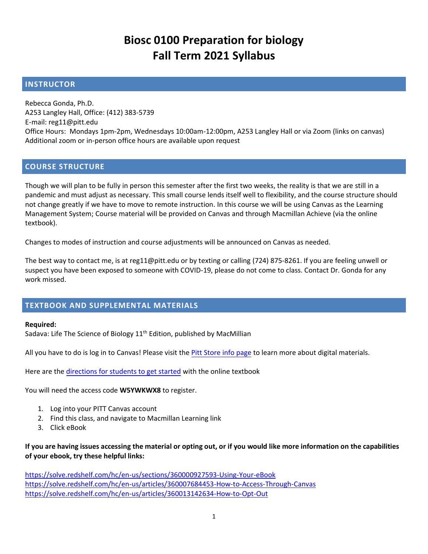### **Biosc 0100 Preparation for biology Fall Term 2021 Syllabus**

#### **INSTRUCTOR**

Rebecca Gonda, Ph.D. A253 Langley Hall, Office: (412) 383-5739 E-mail: reg11@pitt.edu Office Hours: Mondays 1pm-2pm, Wednesdays 10:00am-12:00pm, A253 Langley Hall or via Zoom (links on canvas) Additional zoom or in-person office hours are available upon request

#### **COURSE STRUCTURE**

Though we will plan to be fully in person this semester after the first two weeks, the reality is that we are still in a pandemic and must adjust as necessary. This small course lends itself well to flexibility, and the course structure should not change greatly if we have to move to remote instruction. In this course we will be using Canvas as the Learning Management System; Course material will be provided on Canvas and through Macmillan Achieve (via the online textbook).

Changes to modes of instruction and course adjustments will be announced on Canvas as needed.

The best way to contact me, is at reg11@pitt.edu or by texting or calling (724) 875-8261. If you are feeling unwell or suspect you have been exposed to someone with COVID-19, please do not come to class. Contact Dr. Gonda for any work missed.

#### **TEXTBOOK AND SUPPLEMENTAL MATERIALS**

#### **Required:**

Sadava: Life The Science of Biology 11<sup>th</sup> Edition, published by MacMillian

[All you have to do is](http://www.pittuniversitystore.com/SiteText.aspx?id=45005) log in to Canvas! Please visit the Pitt Store info page to learn more about digital materials.

Here are th[e directions for students to get started](https://nam12.safelinks.protection.outlook.com/?url=https%3A%2F%2Fmacmillan.force.com%2Fmacmillanlearning%2Fs%2Farticle%2FAchieve-Join-a-course&data=04%7C01%7Creg11%40pitt.edu%7Cdb3a9750bbc5450a197808d966702a09%7C9ef9f489e0a04eeb87cc3a526112fd0d%7C1%7C0%7C637653454192851718%7CUnknown%7CTWFpbGZsb3d8eyJWIjoiMC4wLjAwMDAiLCJQIjoiV2luMzIiLCJBTiI6Ik1haWwiLCJXVCI6Mn0%3D%7C1000&sdata=vFimOrqe7Rd%2BhvPPn%2FfZ8jELtQJJlUD2MFuXnFR8o7A%3D&reserved=0) with the online textbook

You will need the access code **W5YWKWX8** to register.

- 1. Log into your PITT Canvas account
- 2. Find this class, and navigate to Macmillan Learning link
- 3. Click eBook

#### **If you are having issues accessing the material or opting out, or if you would like more information on the capabilities of your ebook, try these helpful links:**

[https://solve.redshelf.com/hc/en-us/sections/360000927593-Using-Your-eBook](https://nam05.safelinks.protection.outlook.com/?url=https%3A%2F%2Fu5665484.ct.sendgrid.net%2Fls%2Fclick%3Fupn%3DHLJ24Q3gH15Y3hUPXXgNp3MkyFZ29twPHhC-2BrYXsLlXp3A7Y1Sq41Jgee9KqsyPbxQ-2BXyMFzXu50u5n2yau0AGnoHI0Iek0l2-2FV0xDLocpkcpgNzor-2BOy3ppq03Y8HAnXZrJ_qRsDFDdSp9WXSFWyltQ1hfO4IyXRHT82VTYIXid4FBHVa2W3pIuDCbXK0IYU9hSnQvejBJytVxoig-2FamG3ebV0cMmlMwawrLwVPhuekxVotCwEqBJLVCMrphizxl6vgcLOMRGQZ5AVTv9HaQw6Ivbf5ImWEalK5dfhx9v-2BMaab-2FIqZZHrLo-2BjManZg-2Fg6kaIZrKh6ov2MF-2FoomUymU6DSKACkyMpsGlFATBcd7ruw3pMd4Y6mfWUvNu-2BzyUQqL6SoQK-2B9lQofr870MyN6PFg-2FPP5BhHUXG1dd0zeDr5nhZOfY6QBPJtLAgSAyebap1R8dEN8C6o59mcuzNOLrVnUFg-3D-3D&data=02%7C01%7Creg11%40pitt.edu%7C576eb1d7635f48956a1b08d83f93734c%7C9ef9f489e0a04eeb87cc3a526112fd0d%7C1%7C1%7C637329249812724296&sdata=3uoCECisMsGcE0xdwaihFsP1hXQiyc6BTvONlO9RTEY%3D&reserved=0) [https://solve.redshelf.com/hc/en-us/articles/360007684453-How-to-Access-Through-Canvas](https://nam05.safelinks.protection.outlook.com/?url=https%3A%2F%2Fu5665484.ct.sendgrid.net%2Fls%2Fclick%3Fupn%3DHLJ24Q3gH15Y3hUPXXgNp3MkyFZ29twPHhC-2BrYXsLlVAJWTsdExl7eR4wsk0pqTPupWeY6fFVO8jH7tT4Hhx70aPeUUc2XFoVgFqIeuSyjNb4OHK7BQXdkExInCtQ0tOMAWY_qRsDFDdSp9WXSFWyltQ1hfO4IyXRHT82VTYIXid4FBHVa2W3pIuDCbXK0IYU9hSnQvejBJytVxoig-2FamG3ebV0cMmlMwawrLwVPhuekxVotCwEqBJLVCMrphizxl6vgcLOMRGQZ5AVTv9HaQw6Ivbf5ImWEalK5dfhx9v-2BMaab-2FIqZZHrLo-2BjManZg-2Fg6kaIDw4cMWR-2BKwygnBjerdeVOCHTa7FUkPZ1ixTz2JvFe93A6RYf9PLQt2D-2Bi89cay-2FkqVI2vt3kiODIRB4CqPboetqORdRrnom98079-2FetOgTGh66NtplHBm9UDct4mn1uRC1LsFmhNHdzg3PVJK0nWWQ-3D-3D&data=02%7C01%7Creg11%40pitt.edu%7C576eb1d7635f48956a1b08d83f93734c%7C9ef9f489e0a04eeb87cc3a526112fd0d%7C1%7C1%7C637329249812724296&sdata=yeg%2FKWa5Kbv9S7vHGi4dvFSDZDRfZCGlPp%2FYsslr%2B7c%3D&reserved=0) [https://solve.redshelf.com/hc/en-us/articles/360013142634-How-to-Opt-Out](https://nam05.safelinks.protection.outlook.com/?url=https%3A%2F%2Fu5665484.ct.sendgrid.net%2Fls%2Fclick%3Fupn%3DHLJ24Q3gH15Y3hUPXXgNp3MkyFZ29twPHhC-2BrYXsLlVAJWTsdExl7eR4wsk0pqTPq2zupLltccdi56aJ9MixW9otrUk7Ls8ekHbyyikKVtVmXTi1-2BMZzYcsS7z5J1shDj-jU_qRsDFDdSp9WXSFWyltQ1hfO4IyXRHT82VTYIXid4FBHVa2W3pIuDCbXK0IYU9hSnQvejBJytVxoig-2FamG3ebV0cMmlMwawrLwVPhuekxVotCwEqBJLVCMrphizxl6vgcLOMRGQZ5AVTv9HaQw6Ivbf5ImWEalK5dfhx9v-2BMaab-2FIqZZHrLo-2BjManZg-2Fg6kaIz0bFrNn4kEEPXv5DjDJfqxA4Y-2BmlwMYzQWnH-2B6x4Oa6hRrrlOJPFPEbT-2Faez3q1nryl3npqDqha0CH49CdneM7r3KveWxP1e4xW0xBHHs2Yg5W0E4wGmRZrAgfrQEaruQeY0RqpDrb7kYJvmgQI8Gw-3D-3D&data=02%7C01%7Creg11%40pitt.edu%7C576eb1d7635f48956a1b08d83f93734c%7C9ef9f489e0a04eeb87cc3a526112fd0d%7C1%7C1%7C637329249812734293&sdata=lHvOFf7QUyBWungFSvFjbWj3HYhKxLlUJVvwByK%2F1b0%3D&reserved=0)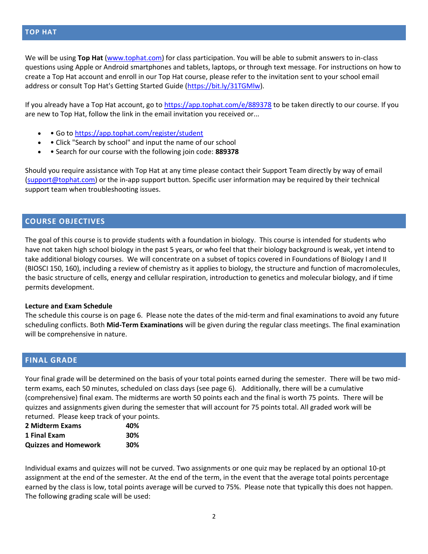#### **TOP HAT**

We will be using **Top Hat** [\(www.tophat.com\)](http://www.tophat.com/) for class participation. You will be able to submit answers to in-class questions using Apple or Android smartphones and tablets, laptops, or through text message. For instructions on how to create a Top Hat account and enroll in our Top Hat course, please refer to the invitation sent to your school email address or consult Top Hat's Getting Started Guide [\(https://bit.ly/31TGMlw\)](https://bit.ly/31TGMlw).

If you already have a Top Hat account, go to <https://app.tophat.com/e/889378> to be taken directly to our course. If you are new to Top Hat, follow the link in the email invitation you received or...

- • Go to <https://app.tophat.com/register/student>
- • Click "Search by school" and input the name of our school
- • Search for our course with the following join code: **889378**

Should you require assistance with Top Hat at any time please contact their Support Team directly by way of email [\(support@tophat.com\)](mailto:support@tophat.com) or the in-app support button. Specific user information may be required by their technical support team when troubleshooting issues.

#### **COURSE OBJECTIVES**

The goal of this course is to provide students with a foundation in biology. This course is intended for students who have not taken high school biology in the past 5 years, or who feel that their biology background is weak, yet intend to take additional biology courses. We will concentrate on a subset of topics covered in Foundations of Biology I and II (BIOSCI 150, 160), including a review of chemistry as it applies to biology, the structure and function of macromolecules, the basic structure of cells, energy and cellular respiration, introduction to genetics and molecular biology, and if time permits development.

#### **Lecture and Exam Schedule**

The schedule this course is on page 6. Please note the dates of the mid-term and final examinations to avoid any future scheduling conflicts. Both **Mid-Term Examinations** will be given during the regular class meetings. The final examination will be comprehensive in nature.

#### **FINAL GRADE**

Your final grade will be determined on the basis of your total points earned during the semester. There will be two midterm exams, each 50 minutes, scheduled on class days (see page 6). Additionally, there will be a cumulative (comprehensive) final exam. The midterms are worth 50 points each and the final is worth 75 points. There will be quizzes and assignments given during the semester that will account for 75 points total. All graded work will be returned. Please keep track of your points.

| 2 Midterm Exams             | 40% |
|-----------------------------|-----|
| 1 Final Exam                | 30% |
| <b>Quizzes and Homework</b> | 30% |

Individual exams and quizzes will not be curved. Two assignments or one quiz may be replaced by an optional 10-pt assignment at the end of the semester. At the end of the term, in the event that the average total points percentage earned by the class is low, total points average will be curved to 75%. Please note that typically this does not happen. The following grading scale will be used: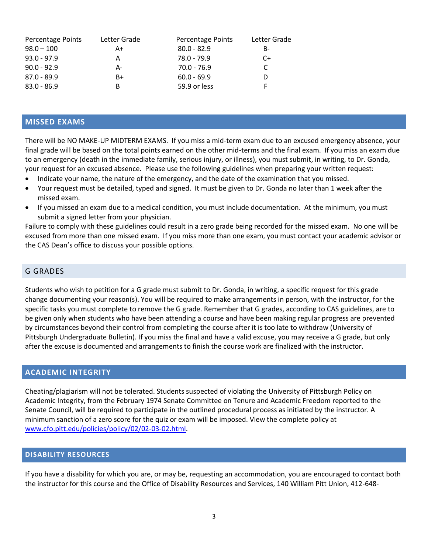| Letter Grade | Percentage Points | Letter Grade |
|--------------|-------------------|--------------|
| A+           | $80.0 - 82.9$     | в-           |
| Α            | $78.0 - 79.9$     | C+           |
| А-           | 70.0 - 76.9       |              |
| B+           | $60.0 - 69.9$     |              |
| в            | 59.9 or less      |              |
|              |                   |              |

#### **MISSED EXAMS**

There will be NO MAKE-UP MIDTERM EXAMS. If you miss a mid-term exam due to an excused emergency absence, your final grade will be based on the total points earned on the other mid-terms and the final exam. If you miss an exam due to an emergency (death in the immediate family, serious injury, or illness), you must submit, in writing, to Dr. Gonda, your request for an excused absence. Please use the following guidelines when preparing your written request:

- Indicate your name, the nature of the emergency, and the date of the examination that you missed.
- Your request must be detailed, typed and signed. It must be given to Dr. Gonda no later than 1 week after the missed exam.
- If you missed an exam due to a medical condition, you must include documentation. At the minimum, you must submit a signed letter from your physician.

Failure to comply with these guidelines could result in a zero grade being recorded for the missed exam. No one will be excused from more than one missed exam. If you miss more than one exam, you must contact your academic advisor or the CAS Dean's office to discuss your possible options.

#### G GRADES

Students who wish to petition for a G grade must submit to Dr. Gonda, in writing, a specific request for this grade change documenting your reason(s). You will be required to make arrangements in person, with the instructor, for the specific tasks you must complete to remove the G grade. Remember that G grades, according to CAS guidelines, are to be given only when students who have been attending a course and have been making regular progress are prevented by circumstances beyond their control from completing the course after it is too late to withdraw (University of Pittsburgh Undergraduate Bulletin). If you miss the final and have a valid excuse, you may receive a G grade, but only after the excuse is documented and arrangements to finish the course work are finalized with the instructor.

#### **ACADEMIC INTEGRITY**

Cheating/plagiarism will not be tolerated. Students suspected of violating the University of Pittsburgh Policy on Academic Integrity, from the February 1974 Senate Committee on Tenure and Academic Freedom reported to the Senate Council, will be required to participate in the outlined procedural process as initiated by the instructor. A minimum sanction of a zero score for the quiz or exam will be imposed. View the complete policy at [www.cfo.pitt.edu/policies/policy/02/02-03-02.html.](http://www.cfo.pitt.edu/policies/policy/02/02-03-02.html)

#### **DISABILITY RESOURCES**

If you have a disability for which you are, or may be, requesting an accommodation, you are encouraged to contact both the instructor for this course and the Office of Disability Resources and Services, 140 William Pitt Union, 412-648-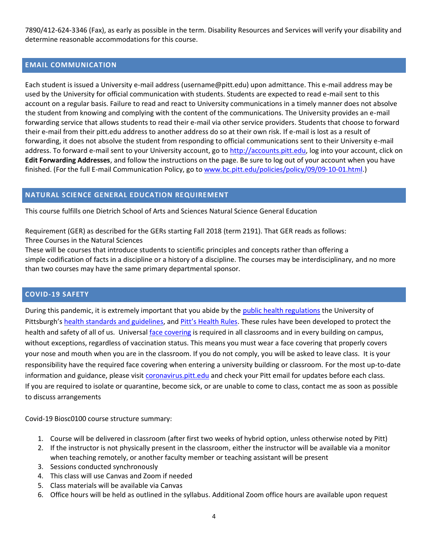7890/412-624-3346 (Fax), as early as possible in the term. Disability Resources and Services will verify your disability and determine reasonable accommodations for this course.

#### **EMAIL COMMUNICATION**

Each student is issued a University e-mail address (username@pitt.edu) upon admittance. This e-mail address may be used by the University for official communication with students. Students are expected to read e-mail sent to this account on a regular basis. Failure to read and react to University communications in a timely manner does not absolve the student from knowing and complying with the content of the communications. The University provides an e-mail forwarding service that allows students to read their e-mail via other service providers. Students that choose to forward their e-mail from their pitt.edu address to another address do so at their own risk. If e-mail is lost as a result of forwarding, it does not absolve the student from responding to official communications sent to their University e-mail address. To forward e-mail sent to your University account, go to [http://accounts.pitt.edu,](http://accounts.pitt.edu/) log into your account, click on **Edit Forwarding Addresses**, and follow the instructions on the page. Be sure to log out of your account when you have finished. (For the full E-mail Communication Policy, go to [www.bc.pitt.edu/policies/policy/09/09-10-01.html.](http://www.bc.pitt.edu/policies/policy/09/09-10-01.html))

#### **NATURAL SCIENCE GENERAL EDUCATION REQUIREMENT**

This course fulfills one Dietrich School of Arts and Sciences Natural Science General Education

Requirement (GER) as described for the GERs starting Fall 2018 (term 2191). That GER reads as follows: Three Courses in the Natural Sciences

These will be courses that introduce students to scientific principles and concepts rather than offering a simple codification of facts in a discipline or a history of a discipline. The courses may be interdisciplinary, and no more than two courses may have the same primary departmental sponsor.

#### **COVID-19 SAFETY**

During this pandemic, it is extremely important that you abide by the [public health regulations](https://www.alleghenycounty.us/Health-Department/Resources/COVID-19/COVID-19.aspx) the University of Pittsburgh's [health standards and guidelines,](https://www.policy.pitt.edu/university-policies-and-procedures/covid-19-standards-and-guidelines) and [Pitt's Health Rules](https://www.coronavirus.pitt.edu/healthy-community/pitts-health-rules). These rules have been developed to protect the health and safety of all of us. Universal [face covering](https://www.coronavirus.pitt.edu/frequently-asked-questions-about-face-coverings) is required in all classrooms and in every building on campus, without exceptions, regardless of vaccination status. This means you must wear a face covering that properly covers your nose and mouth when you are in the classroom. If you do not comply, you will be asked to leave class. It is your responsibility have the required face covering when entering a university building or classroom. For the most up-to-date information and guidance, please visit [coronavirus.pitt.edu](http://coronavirus.pitt.edu/) and check your Pitt email for updates before each class. If you are required to isolate or quarantine, become sick, or are unable to come to class, contact me as soon as possible to discuss arrangements

Covid-19 Biosc0100 course structure summary:

- 1. Course will be delivered in classroom (after first two weeks of hybrid option, unless otherwise noted by Pitt)
- 2. If the instructor is not physically present in the classroom, either the instructor will be available via a monitor when teaching remotely, or another faculty member or teaching assistant will be present
- 3. Sessions conducted synchronously
- 4. This class will use Canvas and Zoom if needed
- 5. Class materials will be available via Canvas
- 6. Office hours will be held as outlined in the syllabus. Additional Zoom office hours are available upon request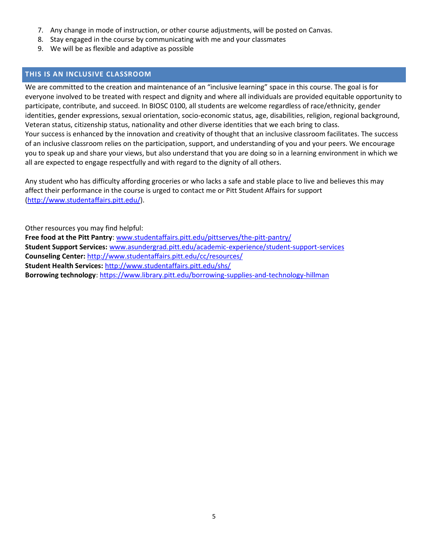- 7. Any change in mode of instruction, or other course adjustments, will be posted on Canvas.
- 8. Stay engaged in the course by communicating with me and your classmates
- 9. We will be as flexible and adaptive as possible

#### **THIS IS AN INCLUSIVE CLASSROOM**

We are committed to the creation and maintenance of an "inclusive learning" space in this course. The goal is for everyone involved to be treated with respect and dignity and where all individuals are provided equitable opportunity to participate, contribute, and succeed. In BIOSC 0100, all students are welcome regardless of race/ethnicity, gender identities, gender expressions, sexual orientation, socio-economic status, age, disabilities, religion, regional background, Veteran status, citizenship status, nationality and other diverse identities that we each bring to class. Your success is enhanced by the innovation and creativity of thought that an inclusive classroom facilitates. The success of an inclusive classroom relies on the participation, support, and understanding of you and your peers. We encourage you to speak up and share your views, but also understand that you are doing so in a learning environment in which we all are expected to engage respectfully and with regard to the dignity of all others.

Any student who has difficulty affording groceries or who lacks a safe and stable place to live and believes this may affect their performance in the course is urged to contact me or Pitt Student Affairs for support [\(http://www.studentaffairs.pitt.edu/\)](http://www.studentaffairs.pitt.edu/).

Other resources you may find helpful: **Free food at the Pitt Pantry**: [www.studentaffairs.pitt.edu/pittserves/the-pitt-pantry/](http://www.studentaffairs.pitt.edu/pittserves/the-pitt-pantry/) **Student Support Services:** [www.asundergrad.pitt.edu/academic-experience/student-support-services](http://www.asundergrad.pitt.edu/academic-experience/student-support-services) **Counseling Center:** <http://www.studentaffairs.pitt.edu/cc/resources/> **Student Health Services:** <http://www.studentaffairs.pitt.edu/shs/> **Borrowing technology**[: https://www.library.pitt.edu/borrowing-supplies-and-technology-hillman](https://www.library.pitt.edu/borrowing-supplies-and-technology-hillman)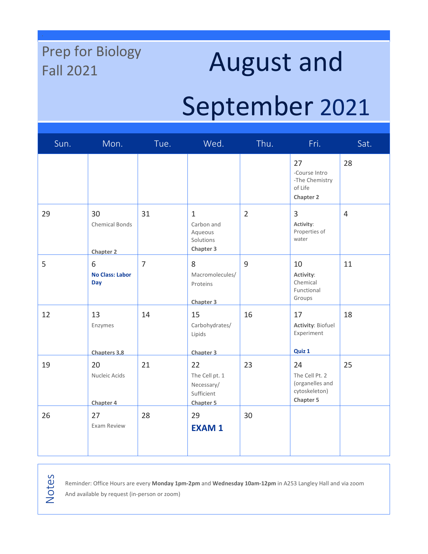# Prep for Biology

## Prep for Biology<br>Fall 2021 **August and**

### September 2021

| Sun. | Mon.                                            | Tue.           | Wed.                                                                 | Thu.           | Fri.                                                                         | Sat.           |
|------|-------------------------------------------------|----------------|----------------------------------------------------------------------|----------------|------------------------------------------------------------------------------|----------------|
|      |                                                 |                |                                                                      |                | 27<br>-Course Intro<br>-The Chemistry<br>of Life<br><b>Chapter 2</b>         | 28             |
| 29   | 30<br><b>Chemical Bonds</b><br><b>Chapter 2</b> | 31             | $\mathbf{1}$<br>Carbon and<br>Aqueous<br>Solutions<br>Chapter 3      | $\overline{2}$ | 3<br>Activity:<br>Properties of<br>water                                     | $\overline{4}$ |
| 5    | 6<br><b>No Class: Labor</b><br>Day              | $\overline{7}$ | 8<br>Macromolecules/<br>Proteins<br>Chapter 3                        | 9              | 10<br>Activity:<br>Chemical<br>Functional<br>Groups                          | 11             |
| 12   | 13<br>Enzymes<br>Chapters 3,8                   | 14             | 15<br>Carbohydrates/<br>Lipids<br>Chapter 3                          | 16             | 17<br><b>Activity: Biofuel</b><br>Experiment<br>Quiz 1                       | 18             |
| 19   | 20<br>Nucleic Acids<br>Chapter 4                | 21             | 22<br>The Cell pt. 1<br>Necessary/<br>Sufficient<br><b>Chapter 5</b> | 23             | 24<br>The Cell Pt. 2<br>(organelles and<br>cytoskeleton)<br><b>Chapter 5</b> | 25             |
| 26   | 27<br>Exam Review                               | 28             | 29<br><b>EXAM1</b>                                                   | 30             |                                                                              |                |

Notes

Reminder: Office Hours are every **Monday 1pm-2pm** and **Wednesday 10am-12pm** in A253 Langley Hall and via zoom

And available by request (in-person or zoom)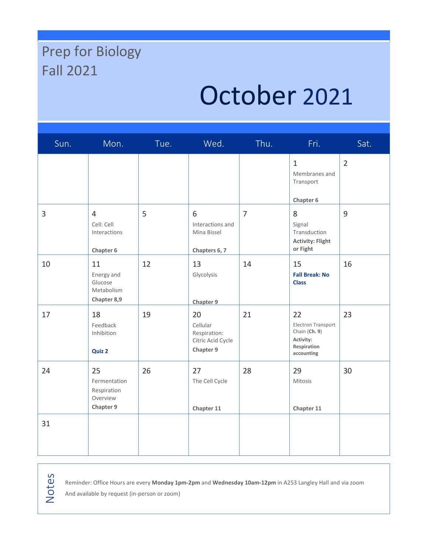### Prep for Biology Fall 2021

## October 2021

| Sun. | Mon.                                                       | Tue. | Wed.                                                             | Thu.           | Fri.                                                                                | Sat.           |
|------|------------------------------------------------------------|------|------------------------------------------------------------------|----------------|-------------------------------------------------------------------------------------|----------------|
|      |                                                            |      |                                                                  |                | $\mathbf{1}$<br>Membranes and<br>Transport<br>Chapter 6                             | $\overline{2}$ |
| 3    | $\overline{4}$<br>Cell: Cell<br>Interactions<br>Chapter 6  | 5    | 6<br>Interactions and<br>Mina Bissel<br>Chapters 6, 7            | $\overline{7}$ | 8<br>Signal<br>Transduction<br><b>Activity: Flight</b><br>or Fight                  | 9              |
| 10   | 11<br>Energy and<br>Glucose<br>Metabolism<br>Chapter 8,9   | 12   | 13<br>Glycolysis<br>Chapter 9                                    | 14             | 15<br><b>Fall Break: No</b><br><b>Class</b>                                         | 16             |
| 17   | 18<br>Feedback<br>Inhibition<br>Quiz 2                     | 19   | 20<br>Cellular<br>Respiration:<br>Citric Acid Cycle<br>Chapter 9 | 21             | 22<br>Electron Transport<br>Chain (Ch. 9)<br>Activity:<br>Respiration<br>accounting | 23             |
| 24   | 25<br>Fermentation<br>Respiration<br>Overview<br>Chapter 9 | 26   | 27<br>The Cell Cycle<br>Chapter 11                               | 28             | 29<br>Mitosis<br>Chapter 11                                                         | 30             |
| 31   |                                                            |      |                                                                  |                |                                                                                     |                |

Notes

Reminder: Office Hours are every **Monday 1pm-2pm** and **Wednesday 10am-12pm** in A253 Langley Hall and via zoom

And available by request (in-person or zoom)